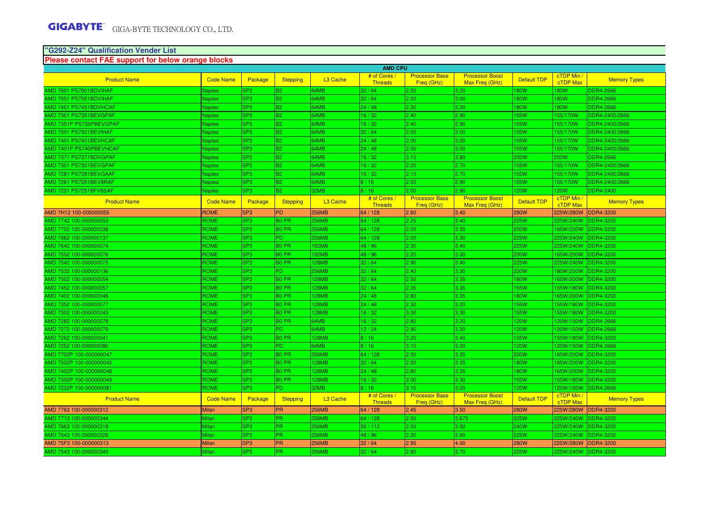# **"G292-Z24" Qualification Vender List Please contact FAE support for below orange blocks**

|                              |                  |                 |                 |                      | <b>AMD CPU</b>                 |                                     |                                          |                    |                               |                     |
|------------------------------|------------------|-----------------|-----------------|----------------------|--------------------------------|-------------------------------------|------------------------------------------|--------------------|-------------------------------|---------------------|
| <b>Product Name</b>          | <b>Code Name</b> | Package         | <b>Stepping</b> | L3 Cache             | # of Cores<br><b>Threads</b>   | <b>Processor Base</b><br>Freq (GHz) | <b>Processor Boost</b><br>Max Freq (GHz) | <b>Default TDP</b> | cTDP Min /<br>cTDP Max        | <b>Memory Types</b> |
| AMD 7601 PS7601BDVIHAF       | Vaples           | SP <sub>3</sub> | <b>B2</b>       | 4MB                  | 32/64                          | 2.20                                | 3.20                                     | 80W                | 80W                           | DDR4-2666           |
| AMD 7551 PS7551BDVIHAF       | <b>Naples</b>    | SP <sub>3</sub> | B <sub>2</sub>  | 34MB                 | 32/64                          | 2.00                                | 3.00                                     | 180W               | <b>180W</b>                   | <b>DDR4-2666</b>    |
| AMD 7451 PS7451BDVHCAF       | <b>Naples</b>    | SP <sub>3</sub> | B <sub>2</sub>  | 34MB                 | 24/48                          | 2.30                                | 3.20                                     | 180W               | <b>180W</b>                   | <b>DDR4-2666</b>    |
| <b>MD 7351 PS7351BEVGPAF</b> | <b>Naples</b>    | SP <sub>3</sub> | B <sub>2</sub>  | <b>34MB</b>          | 16/32                          | 2.40                                | 2.90                                     | 155W               | 155/170W                      | DDR4-2400/2666      |
| MD 7351P PS735PBEVGPAF       | <b>Naples</b>    | SP <sub>3</sub> | B <sub>2</sub>  | 64MB                 | 16/32                          | 2.40                                | 2.90                                     | 155W               | 155/170W                      | DDR4-2400/2666      |
| AMD 7501 PS7501BEVIHAF       | <b>Naples</b>    | SP <sub>3</sub> | B <sub>2</sub>  | 64MB                 | 32/64                          | 2.00                                | 3.00                                     | 155W               | 155/170W                      | DDR4-2400/2666      |
| AMD 7401 PS7401BEVHCAF       | <b>Naples</b>    | SP <sub>3</sub> | B <sub>2</sub>  | <b>34MB</b>          | 24/48                          | 2.00                                | 3.00                                     | 155W               | 155/170W                      | DDR4-2400/2666      |
| AMD 7401P PS740PBEVHCAF      | <b>Naples</b>    | SP <sub>3</sub> | B <sub>2</sub>  | <b>4MB</b>           | 24/48                          | 2.00                                | 3.00                                     | 55W                | 155/170W                      | DDR4-2400/2666      |
| MD 7371 PS7371BDVGPAF        | <b>Naples</b>    | SP <sub>3</sub> | <b>B2</b>       | 4MB                  | 16/32                          | 3.10                                | 3.80                                     | 200W               | 200W                          | DDR4-2666           |
| AMD 7301 PS7301BEVGPAF       | <b>Naples</b>    | SP <sub>3</sub> | B <sub>2</sub>  | 34MB                 | 16/32                          | 2.20                                | 2.70                                     | 155W               | 155/170W                      | DDR4-2400/2666      |
| MD 7281 PS7281BEVGAAF        | <b>Naples</b>    | SP <sub>3</sub> | B <sub>2</sub>  | 64MB                 | 16/32                          | 2.10                                | 2.70                                     | 155W               | 155/170W                      | DDR4-2400/2666      |
| AMD 7261 PS7261BEV8RAF       | <b>Naples</b>    | SP <sub>3</sub> | B <sub>2</sub>  | 64MB                 | 8/16                           | 2.50                                | 2.90                                     | 155W               | 155/170W                      | DDR4-2400/2666      |
| AMD 7251 PS7251BFV8SAF       | <b>Naples</b>    | SP <sub>3</sub> | B <sub>2</sub>  | 32MB                 | 8/16                           | 2.00                                | 2.90                                     | <b>20W</b>         | 120W                          | <b>DDR4-2400</b>    |
| <b>Product Name</b>          | <b>Code Name</b> | Package         | <b>Stepping</b> | L <sub>3</sub> Cache | # of Cores /<br><b>Threads</b> | <b>Processor Base</b><br>Freg (GHz) | <b>Processor Boost</b><br>Max Freg (GHz) | Default TDP        | cTDP Min /<br>cTDP Max        | <b>Memory Types</b> |
| AMD 7H12 100-000000055       | <b>ROME</b>      | SP <sub>3</sub> | PD              | 256MB                | 64 / 128                       | 2.60                                | 3.40                                     | 280W               | 225W/280W                     | DDR4-3200           |
| MD 7742 100-000000053        | ROME             | SP <sub>3</sub> | <b>BO PR</b>    | 56MB                 | 64 / 128                       | 2.25                                | 3.40                                     | 225W               | 225W/240W                     | DDR4-3200           |
| AMD 7702 100-000000038       | <b>ROME</b>      | SP <sub>3</sub> | <b>BO PR</b>    | <b>256MB</b>         | 64 / 128                       | 2.00                                | 3.35                                     | 200W               | 165W/200W                     | DDR4-3200           |
| AMD 7662 100-000000137       | <b>ROME</b>      | SP <sub>3</sub> | <b>PD</b>       | <b>56MB</b>          | 64 / 128                       | 2.00                                | 3.30                                     | 225W               | 225W/240W                     | <b>DDR4-3200</b>    |
| AMD 7642 100-000000074       | <b>ROME</b>      | SP <sub>3</sub> | <b>BO PR</b>    | 92MB                 | 48 / 96                        | 2.30                                | 3.40                                     | 225W               | 225W/240W                     | <b>DDR4-3200</b>    |
| AMD 7552 100-000000076       | ROME             | SP <sub>3</sub> | <b>BO PR</b>    | 92MB                 | 48 / 96                        | 2.20                                | 3.30                                     | 200W               | 165W/200W                     | DDR4-3200           |
| AMD 7542 100-000000075       | ROME             | SP <sub>3</sub> | <b>BO PR</b>    | 28MB                 | 32/64                          | 2.90                                | 3.40                                     | 225W               | 225W/240W                     | DDR4-3200           |
| AMD 7532 100-000000136       | <b>ROME</b>      | SP <sub>3</sub> | <b>PD</b>       | <b>56MB</b>          | 32/64                          | 2.40                                | 3.30                                     | 200W               | 180W/200W                     | DDR4-3200           |
| MD 7502 100-000000054        | ROME             | <b>SP3</b>      | <b>BO PR</b>    | <b>28MB</b>          | 32/64                          | 2.50                                | 3.35                                     | 180W               | 165W/200W                     | <b>DDR4-3200</b>    |
| AMD 7452 100-000000057       | <b>ROME</b>      | SP <sub>3</sub> | <b>BO PR</b>    | 28MB                 | 32/64                          | 2.35                                | 3.35                                     | 155W               | 155W/180W                     | <b>DDR4-3200</b>    |
| AMD 7402 100-000000046       | <b>ROME</b>      | <b>SP3</b>      | <b>BO PR</b>    | 28MB                 | 24/48                          | 2.80                                | 3.35                                     | 180W               | 165W/200W                     | <b>DDR4-3200</b>    |
| AMD 7352 100-000000077       | ROME             | SP <sub>3</sub> | <b>BO PR</b>    | 28MB                 | 24/48                          | 2.30                                | 3.20                                     | 55W                | 155W/180W                     | <b>DDR4-3200</b>    |
| AMD 7302 100-000000043       | ROME             | SP <sub>3</sub> | <b>BO PR</b>    | 28MB                 | 16/32                          | 3.00                                | 3.30                                     | <b>55W</b>         | 155W/180W                     | DDR4-3200           |
| MD 7282 100-000000078        | <b>ROME</b>      | SP <sub>3</sub> | <b>BO PR</b>    | <b>34MB</b>          | 16/32                          | 2.80                                | 3.20                                     | 120W               | 120W/150W                     | <b>DDR4-2666</b>    |
| AMD 7272 100-000000079       | <b>ROME</b>      | SP <sub>3</sub> | IPD.            | 64MB                 | 12/24                          | 2.90                                | 3.20                                     | 120W               | 120W/150W                     | <b>DDR4-2666</b>    |
| AMD 7262 100-000000041       | <b>ROME</b>      | <b>SP3</b>      | <b>BO PR</b>    | 28MB                 | 8/16                           | 3.20                                | 3.40                                     | 155W               | 155W/180W                     | <b>DDR4-3200</b>    |
| AMD 7252 100-000000080       | ROME             | SP <sub>3</sub> | lPD.            | 64MB                 | 8/16                           | 3.10                                | 3.20                                     | 120W               | 120W/150W                     | <b>DDR4-2666</b>    |
| AMD 7702P 100-000000047      | ROME             | SP <sub>3</sub> | <b>BO PR</b>    | 56MB                 | 64 / 128                       | 2.00                                | 3.35                                     | 200W               | 165W/200W                     | DDR4-3200           |
| AMD 7502P 100-000000045      | ROME             | SP <sub>3</sub> | <b>BO PR</b>    | 28MB                 | 32/64                          | 2.50                                | 3.35                                     | <b>80W</b>         | 165W/200W                     | DDR4-3200           |
| AMD 7402P 100-000000048      | <b>ROME</b>      | SP <sub>3</sub> | <b>BO PR</b>    | 28MB                 | 24/48                          | 2.80                                | 3.35                                     | 180W               | 165W/200W                     | DDR4-3200           |
| AMD 7302P 100-000000049      | ROME             | SP <sub>3</sub> | <b>BO PR</b>    | 28MB                 | 16/32                          | 3.00                                | 3.30                                     | 155W               | 155W/180W                     | <b>DDR4-3200</b>    |
| AMD 7232P 100-000000081      | ROME             | SP <sub>3</sub> | <b>PD</b>       | 32MB                 | 8/16                           | 3.10                                | 3.20                                     | 120W               | 120W/150W                     | <b>DDR4-2666</b>    |
| <b>Product Name</b>          | <b>Code Name</b> | Package         | Stepping        | L3 Cache             | # of Cores /<br><b>Threads</b> | <b>Processor Base</b><br>Freq (GHz) | <b>Processor Boost</b><br>Max Freg (GHz) | Default TDP        | cTDP Min /<br><b>cTDP Max</b> | <b>Memory Types</b> |
| AMD 7763 100-000000312       | <b>Milan</b>     | SP <sub>3</sub> | <b>PR</b>       | 256MB                | 64 / 128                       | 2.45                                | 3.50                                     | <b>280W</b>        | 25W/280W                      | <b>DDR4-3200</b>    |
| AMD 7713 100-000000344       | Milan            | SP <sub>3</sub> | <b>PR</b>       | <b>56MB</b>          | 64 / 128                       | 2.00                                | 3.675                                    | 225W               | 225W/240W                     | DR4-3200            |
| AMD 7663 100-000000318       | Milan            | SP <sub>3</sub> | PR              | 56MB                 | 56 / 112                       | 2.00                                | 3.50                                     | 240W               | 225W/240W                     | DDR4-3200           |
| AMD 7643 100-000000326       | Milan            | SP <sub>3</sub> | PR.             | <b>256MB</b>         | 48 / 96                        | 2.30                                | 3.60                                     | 225W               | 225W/240W                     | DDR4-3200           |
| AMD 75F3 100-000000313       | <b>Milan</b>     | SP <sub>3</sub> | <b>PR</b>       | 256MB                | 32/64                          | 2.95                                | 4.00                                     | <b>280W</b>        | 225W/280W                     | <b>DDR4-3200</b>    |
| AMD 7543 100-000000345       | Milan            | SP <sub>3</sub> | PR              | <b>56MB</b>          | 32/64                          | 2.80                                | 3.70                                     | 225W               | 225W/240W                     | <b>DDR4-3200</b>    |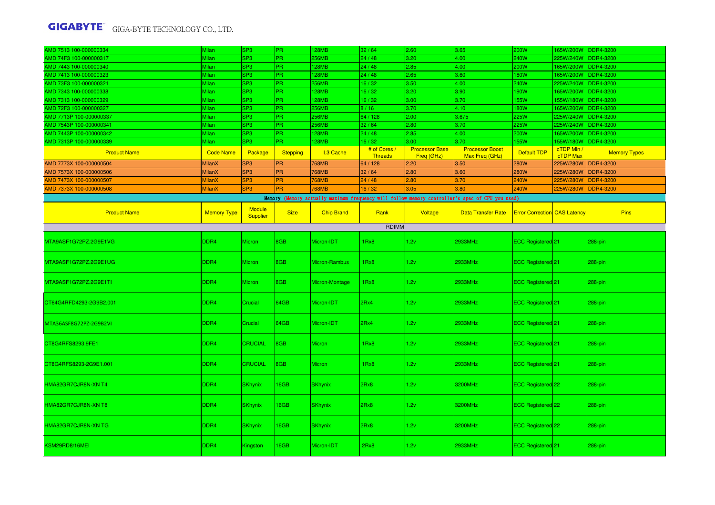| AMD 7513 100-000000334  | Milan              | SP <sub>3</sub>           | PR.             | 128MB             | 32/64                          | 2.60                                | 3.65                                                                                            | <b>200W</b>                         | 165W/200W DDR4-3200    |                     |
|-------------------------|--------------------|---------------------------|-----------------|-------------------|--------------------------------|-------------------------------------|-------------------------------------------------------------------------------------------------|-------------------------------------|------------------------|---------------------|
| AMD 74F3 100-000000317  | Milan              | SP <sub>3</sub>           | PR.             | 256MB             | 24/48                          | 3.20                                | 4.00                                                                                            | <b>240W</b>                         | 225W/240W              | <b>DDR4-3200</b>    |
| AMD 7443 100-000000340  | Milan              | SP <sub>3</sub>           | PR.             | 128MB             | 24/48                          | 2.85                                | 4.00                                                                                            | 200W                                | 165W/200W              | <b>DDR4-3200</b>    |
| AMD 7413 100-000000323  | Milan              | SP <sub>3</sub>           | PR.             | 128MB             | 24/48                          | 2.65                                | 3.60                                                                                            | 180W                                | 165W/200W              | <b>DDR4-3200</b>    |
| AMD 73F3 100-000000321  | Milan              | SP3                       | PR.             | 256MB             | 16/32                          | 3.50                                | 4.00                                                                                            | 240W                                | 225W/240W              | <b>DDR4-3200</b>    |
| AMD 7343 100-000000338  | Milan              | SP <sub>3</sub>           | PR.             | 28MB              | 16/32                          | 3.20                                | 3.90                                                                                            | 190W                                | 65W/200W               | <b>DDR4-3200</b>    |
| AMD 7313 100-000000329  | Milan              | SP <sub>3</sub>           | PR.             | 128MB             | 16/32                          | 3.00                                | 3.70                                                                                            | 155W                                | 155W/180W              | <b>DDR4-3200</b>    |
| AMD 72F3 100-000000327  | Milan              | SP <sub>3</sub>           | PR.             | 256MB             | 8/16                           | 3.70                                | 4.10                                                                                            | 180W                                | 165W/200W              | DDR4-3200           |
| AMD 7713P 100-000000337 | Milan              | SP <sub>3</sub>           | PR.             | 256MB             | 64 / 128                       | 2.00                                | 3.675                                                                                           | 225W                                | 225W/240W              | <b>DDR4-3200</b>    |
| AMD 7543P 100-000000341 | Milan              | SP3                       | PR              | 256MB             | 32/64                          | 2.80                                | 3.70                                                                                            | 225W                                | 225W/240W              | DDR4-3200           |
| AMD 7443P 100-000000342 | Milan              | SP <sub>3</sub>           | PR.             | 28MB              | 24/48                          | 2.85                                | 4.00                                                                                            | 200W                                | 65W/200W               | <b>DDR4-3200</b>    |
| AMD 7313P 100-000000339 | Milan              | SP <sub>3</sub>           | PR.             | 28MB              | 16/32                          | 3.00                                | 3.70                                                                                            | 155W                                | 155W/180W              | <b>DDR4-3200</b>    |
| <b>Product Name</b>     | <b>Code Name</b>   | Package                   | <b>Stepping</b> | L3 Cache          | # of Cores /<br><b>Threads</b> | <b>Processor Base</b><br>Freq (GHz) | <b>Processor Boost</b><br>Max Freq (GHz)                                                        | Default TDP                         | cTDP Min /<br>cTDP Max | <b>Memory Types</b> |
| AMD 7773X 100-000000504 | <b>MilanX</b>      | SP <sub>3</sub>           | PR              | 768MB             | 64 / 128                       | 2.20                                | 3.50                                                                                            | 280W                                | 225W/280W              | <b>DDR4-3200</b>    |
| AMD 7573X 100-000000506 | <b>MilanX</b>      | SP <sub>3</sub>           | PR              | 768MB             | 32/64                          | 2.80                                | 3.60                                                                                            | <b>280W</b>                         | 225W/280W              | <b>DDR4-3200</b>    |
| AMD 7473X 100-000000507 | <b>MilanX</b>      | SP <sub>3</sub>           | PR              | <b>768MB</b>      | 24/48                          | 2.80                                | 3.70                                                                                            | <b>240W</b>                         | 225W/280W              | <b>DDR4-3200</b>    |
| AMD 7373X 100-000000508 | <b>MilanX</b>      | SP <sub>3</sub>           | <b>PR</b>       | <b>768MB</b>      | 16/32                          | 3.05                                | 3.80                                                                                            | 240W                                | 225W/280W              | <b>DDR4-3200</b>    |
|                         |                    |                           |                 |                   |                                |                                     | Memory (Memory actually maximum frequency will follow memory controller's spec of CPU you used) |                                     |                        |                     |
| <b>Product Name</b>     | <b>Memory Type</b> | <b>Module</b><br>Supplier | <b>Size</b>     | <b>Chip Brand</b> | Rank                           | Voltage                             | <b>Data Transfer Rate</b>                                                                       | <b>Error Correction CAS Latency</b> |                        | Pins                |
|                         |                    |                           |                 |                   | RDIMM                          |                                     |                                                                                                 |                                     |                        |                     |
| MTA9ASF1G72PZ.2G9E1VG   | DDR4               | Micron                    | 8GB             | Micron-IDT        | 1Rx8                           | 1.2v                                | 2933MHz                                                                                         | ECC Registered 21                   |                        | 288-pin             |
| MTA9ASF1G72PZ.2G9E1UG   | DDR4               | <b>Micron</b>             | 8GB             | Micron-Rambus     | 1Rx8                           | 1.2v                                | 2933MHz                                                                                         | ECC Registered 21                   |                        | 288-pin             |
| MTA9ASF1G72PZ.2G9E1TI   | DDR4               | Micron                    | 8GB             | Micron-Montage    | 1Rx8                           | 1.2v                                | 2933MHz                                                                                         | ECC Registered <sup>21</sup>        |                        | 288-pin             |
| CT64G4RFD4293-2G9B2.001 | DDR4               | Crucial                   | 64GB            | Micron-IDT        | 2Rx4                           | 1.2v                                | 2933MHz                                                                                         | ECC Registered 21                   |                        | 288-pin             |
| MTA36ASF8G72PZ-2G9B2VI  | DDR4               | Crucial                   | 64GB            | Micron-IDT        | 2Rx4                           | 1.2v                                | 2933MHz                                                                                         | ECC Registered 21                   |                        | 288-pin             |
| CT8G4RFS8293.9FE1       | DDR4               | CRUCIAL                   | 8GB             | <b>Micron</b>     | 1Rx8                           | 1.2v                                | 2933MHz                                                                                         | ECC Registered 21                   |                        | 288-pin             |
| CT8G4RFS8293-2G9E1.001  | DDR4               | <b>CRUCIAL</b>            | 8GB             | <b>Micron</b>     | 1Rx8                           | 1.2v                                | 2933MHz                                                                                         | ECC Registered 21                   |                        | 288-pin             |
| HMA82GR7CJR8N-XN T4     | DDR4               | <b>SKhynix</b>            | 16GB            | <b>SKhynix</b>    | 2Rx8                           | 1.2v                                | 3200MHz                                                                                         | ECC Registered 22                   |                        | 288-pin             |
| HMA82GR7CJR8N-XN T8     | DDR4               | <b>SKhynix</b>            | 16GB            | <b>SKhynix</b>    | 2Rx8                           | 1.2v                                | 3200MHz                                                                                         | ECC Registered 22                   |                        | 288-pin             |
| HMA82GR7CJR8N-XN TG     | DDR4               | <b>SKhynix</b>            | 16GB            | <b>SKhynix</b>    | 2Rx8                           | 1.2v                                | 3200MHz                                                                                         | ECC Registered 22                   |                        | 288-pin             |
| KSM29RD8/16MEI          | DDR <sub>4</sub>   | <b>Kingston</b>           | 16GB            | Micron-IDT        | 2Rx8                           | 1.2v                                | 2933MHz                                                                                         | ECC Registered 21                   |                        | 288-pin             |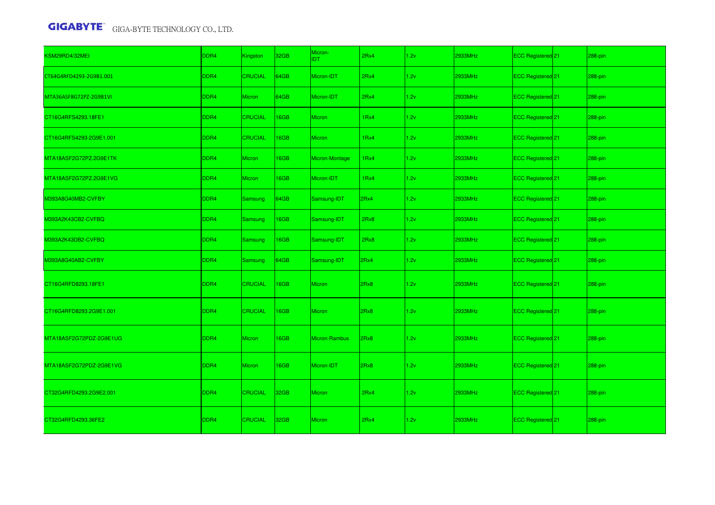| KSM29RD4/32MEI          | DDR4             | Kingston       | 32GB | Micron-<br><b>IDT</b> | 2Rx4 | 1.2v | 2933MHz | ECC Registered <sup>21</sup> | 288-pin |
|-------------------------|------------------|----------------|------|-----------------------|------|------|---------|------------------------------|---------|
| CT64G4RFD4293-2G9B1.001 | DDR <sub>4</sub> | <b>CRUCIAL</b> | 64GB | Micron-IDT            | 2Rx4 | 1.2v | 2933MHz | ECC Registered <sup>21</sup> | 288-pin |
| MTA36ASF8G72PZ-2G9B1VI  | DDR <sub>4</sub> | <b>Micron</b>  | 64GB | Micron-IDT            | 2Rx4 | 1.2v | 2933MHz | ECC Registered 21            | 288-pin |
| CT16G4RFS4293.18FE1     | DDR4             | <b>CRUCIAL</b> | 16GB | <b>Micron</b>         | 1Rx4 | 1.2v | 2933MHz | ECC Registered 21            | 288-pin |
| CT16G4RFS4293-2G9E1.001 | DDR4             | <b>CRUCIAL</b> | 16GB | <b>Micron</b>         | 1Rx4 | 1.2v | 2933MHz | ECC Registered 21            | 288-pin |
| MTA18ASF2G72PZ.2G9E1TK  | DDR4             | Micron         | 16GB | Micron-Montage        | 1Rx4 | 1.2v | 2933MHz | ECC Registered 21            | 288-pin |
| MTA18ASF2G72PZ.2G9E1VG  | DDR4             | <b>Micron</b>  | 16GB | Micron-IDT            | 1Rx4 | 1.2v | 2933MHz | ECC Registered 21            | 288-pin |
| M393A8G40MB2-CVFBY      | DDR4             | Samsung        | 64GB | Samsung-IDT           | 2Rx4 | 1.2v | 2933MHz | ECC Registered 21            | 288-pin |
| M393A2K43CB2-CVFBQ      | DDR4             | <b>Samsung</b> | 16GB | Samsung-IDT           | 2Rx8 | 1.2v | 2933MHz | ECC Registered 21            | 288-pin |
| M393A2K43DB2-CVFBQ      | DDR <sub>4</sub> | <b>Samsung</b> | 16GB | Samsung-IDT           | 2Rx8 | 1.2v | 2933MHz | ECC Registered 21            | 288-pin |
| M393A8G40AB2-CVFBY      | DDR <sub>4</sub> | <b>Samsung</b> | 64GB | Samsung-IDT           | 2Rx4 | 1.2v | 2933MHz | ECC Registered 21            | 288-pin |
| CT16G4RFD8293.18FE1     | DDR4             | <b>CRUCIAL</b> | 16GB | <b>Micron</b>         | 2Rx8 | 1.2v | 2933MHz | ECC Registered 21            | 288-pin |
| CT16G4RFD8293.2G9E1.001 | DDR4             | <b>CRUCIAL</b> | 16GB | Micron                | 2Rx8 | 1.2v | 2933MHz | ECC Registered 21            | 288-pin |
| MTA18ASF2G72PDZ-2G9E1UG | DDR <sub>4</sub> | <b>Micron</b>  | 16GB | Micron-Rambus         | 2Rx8 | 1.2v | 2933MHz | ECC Registered <sup>21</sup> | 288-pin |
| MTA18ASF2G72PDZ-2G9E1VG | DDR4             | <b>Micron</b>  | 16GB | Micron-IDT            | 2Rx8 | 1.2v | 2933MHz | ECC Registered <sup>21</sup> | 288-pin |
| CT32G4RFD4293.2G9E2.001 | DDR4             | <b>CRUCIAL</b> | 32GB | <b>Micron</b>         | 2Rx4 | 1.2v | 2933MHz | ECC Registered 21            | 288-pin |
| CT32G4RFD4293.36FE2     | DDR <sub>4</sub> | <b>CRUCIAL</b> | 32GB | <b>Micron</b>         | 2Rx4 | 1.2v | 2933MHz | ECC Registered 21            | 288-pin |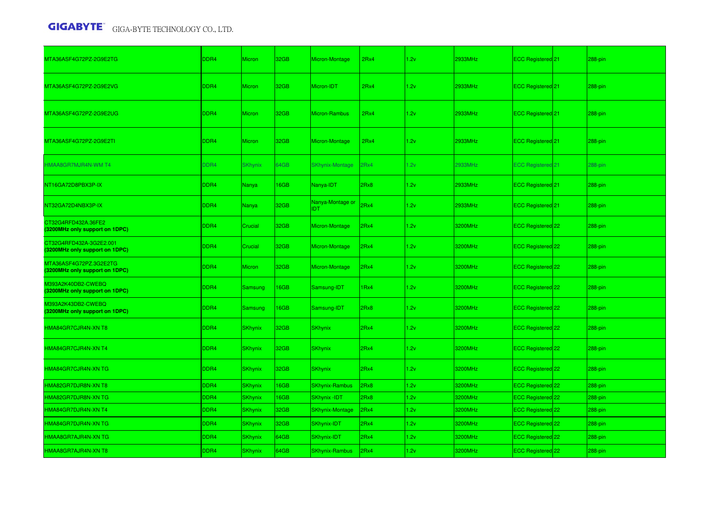| MTA36ASF4G72PZ-2G9E2TG                                    | DDR4             | <b>Micron</b>  | 32GB | Micron-Montage                 | 2Rx4 | 1.2v | 2933MHz | ECC Registered 21            | 288-pin   |
|-----------------------------------------------------------|------------------|----------------|------|--------------------------------|------|------|---------|------------------------------|-----------|
| MTA36ASF4G72PZ-2G9E2VG                                    | DDR4             | <b>Micron</b>  | 32GB | Micron-IDT                     | 2Rx4 | 1.2v | 2933MHz | ECC Registered <sup>21</sup> | 288-pin   |
| MTA36ASF4G72PZ-2G9E2UG                                    | DDR4             | <b>Micron</b>  | 32GB | <b>Micron-Rambus</b>           | 2Rx4 | 1.2v | 2933MHz | ECC Registered <sup>21</sup> | 288-pin   |
| MTA36ASF4G72PZ-2G9E2TI                                    | DDR4             | <b>Micron</b>  | 32GB | Micron-Montage                 | 2Rx4 | 1.2v | 2933MHz | ECC Registered <sup>21</sup> | 288-pin   |
| HMAA8GR7MJR4N-WM T4                                       | DDR4             | <b>SKhynix</b> | 64GB | <b>SKhynix-Montage</b>         | 2Rx4 | 1.2v | 2933MHz | <b>ECC Registered 21</b>     | 288-pin   |
| NT16GA72D8PBX3P-IX                                        | DDR4             | Nanya          | 16GB | Nanya-IDT                      | 2Rx8 | 1.2v | 2933MHz | ECC Registered 21            | 288-pin   |
| NT32GA72D4NBX3P-IX                                        | DDR <sub>4</sub> | Nanya          | 32GB | Nanya-Montage or<br><b>IDT</b> | 2Rx4 | 1.2v | 2933MHz | ECC Registered 21            | $288-pin$ |
| CT32G4RFD432A.36FE2<br>(3200MHz only support on 1DPC)     | DDR4             | Crucial        | 32GB | Micron-Montage                 | 2Rx4 | 1.2v | 3200MHz | ECC Registered 22            | 288-pin   |
| CT32G4RFD432A-3G2E2.001<br>(3200MHz only support on 1DPC) | DDR4             | Crucial        | 32GB | Micron-Montage                 | 2Rx4 | 1.2v | 3200MHz | ECC Registered 22            | 288-pin   |
| MTA36ASF4G72PZ.3G2E2TG<br>(3200MHz only support on 1DPC)  | DDR4             | <b>Micron</b>  | 32GB | Micron-Montage                 | 2Rx4 | 1.2v | 3200MHz | ECC Registered 22            | 288-pin   |
| M393A2K40DB2-CWEBQ<br>(3200MHz only support on 1DPC)      | DDR4             | Samsung        | 16GB | Samsung-IDT                    | 1Rx4 | 1.2v | 3200MHz | ECC Registered 22            | 288-pin   |
| 0393A2K43DB2-CWEBQ<br>(3200MHz only support on 1DPC)      | DDR4             | Samsung        | 16GB | Samsung-IDT                    | 2Rx8 | 1.2v | 3200MHz | ECC Registered 22            | 288-pin   |
| HMA84GR7CJR4N-XN T8                                       | DDR4             | <b>SKhynix</b> | 32GB | <b>SKhynix</b>                 | 2Rx4 | 1.2v | 3200MHz | ECC Registered 22            | 288-pin   |
| HMA84GR7CJR4N-XN T4                                       | DDR4             | <b>SKhynix</b> | 32GB | <b>SKhynix</b>                 | 2Rx4 | 1.2v | 3200MHz | ECC Registered 22            | 288-pin   |
| HMA84GR7CJR4N-XN TG                                       | DDR4             | <b>SKhynix</b> | 32GB | <b>SKhynix</b>                 | 2Rx4 | 1.2v | 3200MHz | ECC Registered 22            | 288-pin   |
| HMA82GR7DJR8N-XN T8                                       | DDR4             | <b>SKhynix</b> | 16GB | <b>SKhynix-Rambus</b>          | 2Rx8 | 1.2v | 3200MHz | ECC Registered 22            | 288-pin   |
| HMA82GR7DJR8N-XN TG                                       | DDR4             | <b>SKhynix</b> | 16GB | SKhynix -IDT                   | 2Rx8 | 1.2v | 3200MHz | ECC Registered 22            | 288-pin   |
| HMA84GR7DJR4N-XN T4                                       | DDR4             | <b>SKhynix</b> | 32GB | <b>SKhynix-Montage</b>         | 2Rx4 | 1.2v | 3200MHz | ECC Registered 22            | 288-pin   |
| HMA84GR7DJR4N-XN TG                                       | DDR4             | <b>SKhynix</b> | 32GB | SKhynix-IDT                    | 2Rx4 | 1.2v | 3200MHz | ECC Registered 22            | 288-pin   |
| HMAA8GR7AJR4N-XN TG                                       | DDR4             | <b>SKhynix</b> | 64GB | SKhynix-IDT                    | 2Rx4 | 1.2v | 3200MHz | ECC Registered 22            | 288-pin   |
| HMAA8GR7AJR4N-XN T8                                       | DDR4             | <b>SKhynix</b> | 64GB | SKhynix-Rambus                 | 2Rx4 | 1.2v | 3200MHz | ECC Registered 22            | 288-pin   |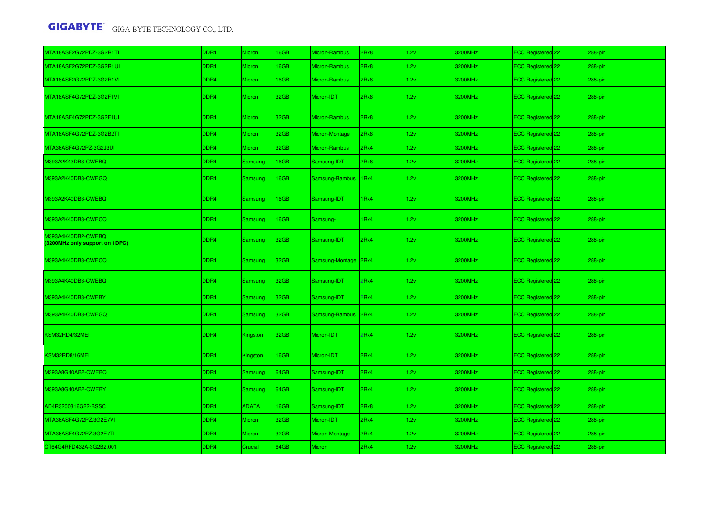| MTA18ASF2G72PDZ-3G2R1TI                              | DDR4 | <b>Micron</b>   | <b>I6GB</b> | Micron-Rambus   | Rx8  | 1.2v | 3200MHz | ECC Registered 22        | 288-pin |
|------------------------------------------------------|------|-----------------|-------------|-----------------|------|------|---------|--------------------------|---------|
| MTA18ASF2G72PDZ-3G2R1UI                              | DDR4 | Micron          | <b>I6GB</b> | Micron-Rambus   | Rx8  | 1.2v | 3200MHz | ECC Registered 22        | 288-pin |
| MTA18ASF2G72PDZ-3G2R1VI                              | DDR4 | <b>Micron</b>   | <b>I6GB</b> | Micron-Rambus   | Rx8  | 1.2v | 3200MHz | ECC Registered 22        | 288-pin |
| VITA18ASF4G72PDZ-3G2F1VI                             | DDR4 | <b>Micron</b>   | 32GB        | Micron-IDT      | 2Rx8 | 1.2v | 3200MHz | ECC Registered 22        | 288-pin |
| MTA18ASF4G72PDZ-3G2F1UI                              | DDR4 | <b>Micron</b>   | 32GB        | Micron-Rambus   | 2Rx8 | 1.2v | 3200MHz | ECC Registered 22        | 288-pin |
| MTA18ASF4G72PDZ-3G2B2TI                              | DDR4 | <b>Micron</b>   | 32GB        | Micron-Montage  | Rx8  | 1.2v | 3200MHz | ECC Registered 22        | 288-pin |
| MTA36ASF4G72PZ-3G2J3UI                               | DDR4 | <b>Micron</b>   | 32GB        | Micron-Rambus   | Rx4  | 1.2v | 3200MHz | ECC Registered 22        | 288-pin |
| 4393A2K43DB3-CWEBQ                                   | DDR4 | Samsung         | <b>I6GB</b> | Samsung-IDT     | Rx8  | 1.2v | 3200MHz | ECC Registered 22        | 288-pin |
| M393A2K40DB3-CWEGQ                                   | DDR4 | Samsung         | <b>I6GB</b> | Samsung-Rambus  | 1Rx4 | 1.2v | 3200MHz | <b>ECC Registered</b> 22 | 288-pin |
| M393A2K40DB3-CWEBQ                                   | DDR4 | <b>Samsung</b>  | 16GB        | Samsung-IDT     | IRx4 | 1.2v | 3200MHz | ECC Registered 22        | 288-pin |
| M393A2K40DB3-CWECQ                                   | DDR4 | Samsung         | 16GB        | Samsung-        | IRx4 | 1.2v | 3200MHz | ECC Registered 22        | 288-pin |
| M393A4K40DB2-CWEBQ<br>(3200MHz only support on 1DPC) | DDR4 | Samsung         | 32GB        | Samsung-IDT     | 2Rx4 | 1.2v | 3200MHz | ECC Registered 22        | 288-pin |
| M393A4K40DB3-CWECQ                                   | DDR4 | Samsung         | 32GB        | Samsung-Montage | 2Rx4 | 1.2v | 3200MHz | ECC Registered 22        | 288-pin |
| M393A4K40DB3-CWEBQ                                   | DDR4 | <b>Samsung</b>  | 32GB        | Samsung-IDT     | Rx4  | 1.2v | 3200MHz | ECC Registered 22        | 288-pin |
| M393A4K40DB3-CWEBY                                   | DDR4 | Samsung         | 32GB        | Samsung-IDT     | Rx4  | 1.2v | 3200MHz | ECC Registered 22        | 288-pin |
| M393A4K40DB3-CWEGQ                                   | DDR4 | Samsung         | 32GB        | Samsung-Rambus  | 2Rx4 | 1.2v | 3200MHz | ECC Registered 22        | 288-pin |
| KSM32RD4/32MEI                                       | DDR4 | <b>Kingston</b> | 32GB        | Micron-IDT      | Rx4  | 1.2v | 3200MHz | ECC Registered 22        | 288-pin |
| KSM32RD8/16MEI                                       | DDR4 | <b>Kingston</b> | 16GB        | Micron-IDT      | 2Rx4 | 1.2v | 3200MHz | ECC Registered 22        | 288-pin |
| M393A8G40AB2-CWEBQ                                   | DDR4 | <b>Samsung</b>  | 64GB        | Samsung-IDT     | 2Rx4 | 1.2v | 3200MHz | ECC Registered 22        | 288-pin |
| M393A8G40AB2-CWEBY                                   | DDR4 | Samsung         | 64GB        | Samsung-IDT     | 2Rx4 | 1.2v | 3200MHz | ECC Registered 22        | 288-pin |
| AD4R3200316G22-BSSC                                  | DDR4 | <b>ADATA</b>    | <b>I6GB</b> | Samsung-IDT     | 2Rx8 | 1.2v | 3200MHz | ECC Registered 22        | 288-pin |
| MTA36ASF4G72PZ.3G2E7VI                               | DDR4 | <b>Micron</b>   | 32GB        | Micron-IDT      | 2Rx4 | 1.2v | 3200MHz | ECC Registered 22        | 288-pin |
| MTA36ASF4G72PZ.3G2E7TI                               | DDR4 | Micron          | 32GB        | Micron-Montage  | 2Rx4 | 1.2v | 3200MHz | ECC Registered 22        | 288-pin |
| CT64G4RFD432A-3G2B2.001                              | DDR4 | Crucial         | 64GB        | Micron          | 2Rx4 | 1.2v | 3200MHz | ECC Registered 22        | 288-pin |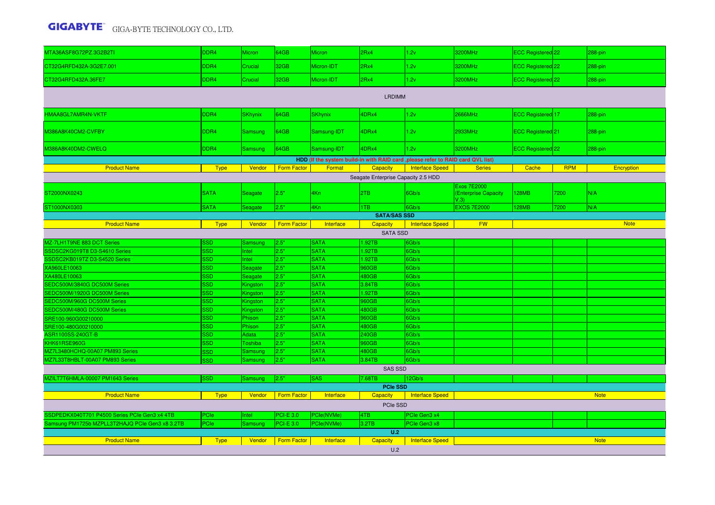| MTA36ASF8G72PZ.3G2B2TI                                     | DDR4                     | Micron             | 64GB               | Micron                     | 2Rx4                                | 1.2v                                                                             | <b>3200MHz</b>                                    | ECC Registered 22            |            | 288-pin     |
|------------------------------------------------------------|--------------------------|--------------------|--------------------|----------------------------|-------------------------------------|----------------------------------------------------------------------------------|---------------------------------------------------|------------------------------|------------|-------------|
| CT32G4RFD432A-3G2E7.001                                    | DDR4                     | Crucial            | 32GB               | Micron-IDT                 | 2Rx4                                | 1.2v                                                                             | 3200MHz                                           | ECC Registered 22            |            | 288-pin     |
| CT32G4RFD432A.36FE7                                        | DDR4                     | Crucial            | 32GB               | Micron-IDT                 | 2Rx4                                | 1.2v                                                                             | 3200MHz                                           | ECC Registered 22            |            | 288-pin     |
|                                                            |                          |                    |                    |                            | <b>LRDIMM</b>                       |                                                                                  |                                                   |                              |            |             |
| HMAA8GL7AMR4N-VKTF                                         | DDR4                     | <b>SKhynix</b>     | 64GB               | <b>SKhynix</b>             | 4DRx4                               | 1.2v                                                                             | <b>2666MHz</b>                                    | ECC Registered 17            |            | 288-pin     |
| M386A8K40CM2-CVFBY                                         | DDR <sub>4</sub>         | <b>Samsung</b>     | 64GB               | Samsung-IDT                | 4DRx4                               | 1.2v                                                                             | 2933MHz                                           | ECC Registered <sup>21</sup> |            | 288-pin     |
| M386A8K40DM2-CWELQ                                         | DDR4                     | Samsung            | 64GB               | Samsung-IDT                | 4DRx4                               | 1.2v                                                                             | 3200MHz                                           | ECC Registered 22            |            | 288-pin     |
|                                                            |                          |                    |                    |                            |                                     | HDD (If the system build-in with RAID card , please refer to RAID card QVL list) |                                                   |                              |            |             |
| <b>Product Name</b>                                        | <b>Type</b>              | Vendor             | Form Factor        | Format                     | Capacity                            | <b>Interface Speed</b>                                                           | <b>Series</b>                                     | Cache                        | <b>RPM</b> | Encryption  |
|                                                            |                          |                    |                    |                            | Seagate Enterprise Capacity 2.5 HDD |                                                                                  |                                                   |                              |            |             |
| ST2000NX0243                                               | <b>SATA</b>              | Seagate            | 2.5"               | 4Kn                        | 2TB                                 | 6Gb/s                                                                            | <b>Exos 7E2000</b><br>(Enterprise Capacity<br>V.3 | <b>128MB</b>                 | 7200       | N/A         |
| ST1000NX0303                                               | <b>SATA</b>              | Seagate            | 2.5"               | 4Kn                        | 1TB                                 | 6Gb/s                                                                            | <b>EXOS 7E2000</b>                                | <b>128MB</b>                 | 7200       | N/A         |
|                                                            |                          |                    |                    |                            | <b>SATA/SAS SSD</b>                 |                                                                                  |                                                   |                              |            |             |
| <b>Product Name</b>                                        | <b>Type</b>              | Vendor             | Form Factor        | Interface                  | Capacity                            | <b>Interface Speed</b>                                                           | <b>FW</b>                                         |                              |            | <b>Note</b> |
|                                                            |                          |                    |                    |                            | <b>SATA SSD</b>                     |                                                                                  |                                                   |                              |            |             |
| MZ-7LH1T9NE 883 DCT Series                                 | 3SD.                     | <b>Samsung</b>     | 2.5"               | <b>SATA</b>                | 1.92TB                              | 6Gb/s                                                                            |                                                   |                              |            |             |
| SSDSC2KG019T8 D3-S4610 Series                              | <b>SSD</b>               | Intel              | 2.5"               | <b>SATA</b>                | 1.92TB                              | 6Gb/s                                                                            |                                                   |                              |            |             |
| SSDSC2KB019TZ D3-S4520 Series                              | <b>SSD</b>               | <b>Intel</b>       | 2.5"               | <b>SATA</b>                | 1.92TB                              | 6Gb/s                                                                            |                                                   |                              |            |             |
| XA960LE10063                                               | <b>SSD</b>               | Seagate            | 2.5"               | <b>SATA</b>                | 960GB                               | 6Gb/s                                                                            |                                                   |                              |            |             |
| XA480LE10063                                               | <b>SSD</b>               | Seagate            | 2.5"               | <b>SATA</b>                | 480GB                               | 6Gb/s                                                                            |                                                   |                              |            |             |
| SEDC500M/3840G DC500M Series                               | <b>SSD</b>               | Kingston           | 2.5"               | <b>SATA</b>                | 3.84TB                              | 6Gb/s                                                                            |                                                   |                              |            |             |
| SEDC500M/1920G DC500M Series                               | <b>SSD</b>               | Kingston           | 2.5"               | <b>SATA</b>                | 1.92TB                              | 6Gb/s                                                                            |                                                   |                              |            |             |
| SEDC500M/960G DC500M Series<br>SEDC500M/480G DC500M Series | <b>SSD</b><br><b>SSD</b> | Kingston           | 2.5"<br>2.5"       | <b>SATA</b><br><b>SATA</b> | 960GB<br>480GB                      | 6Gb/s<br>6Gb/s                                                                   |                                                   |                              |            |             |
|                                                            | <b>SSD</b>               | Kingston<br>Phison | 2.5"               | <b>SATA</b>                | 960GB                               | 6Gb/s                                                                            |                                                   |                              |            |             |
| SRE100-960G00210000<br>SRE100-480G00210000                 | <b>SSD</b>               | Phison             | 2.5"               | <b>SATA</b>                | 480GB                               | 6Gb/s                                                                            |                                                   |                              |            |             |
| ASR1100SS-240GT-B                                          | <b>SSD</b>               | Adata              | 2.5"               | <b>SATA</b>                | 240GB                               | 6Gb/s                                                                            |                                                   |                              |            |             |
| KHK61RSE960G                                               | <b>SSD</b>               | <b>c</b> oshiba    | 2.5"               | <b>SATA</b>                | 960GB                               | 6Gb/s                                                                            |                                                   |                              |            |             |
| MZ7L3480HCHQ-00A07 PM893 Series                            | <b>SSD</b>               | Samsung            | 2.5"               | <b>SATA</b>                | 480GB                               | 6Gb/s                                                                            |                                                   |                              |            |             |
| MZ7L33T8HBLT-00A07 PM893 Series                            | <b>SSD</b>               | Samsung            | 2.5"               | <b>SATA</b>                | 3.84TB                              | 6Gb/s                                                                            |                                                   |                              |            |             |
|                                                            |                          |                    |                    |                            | <b>SAS SSD</b>                      |                                                                                  |                                                   |                              |            |             |
| MZILT7T6HMLA-00007 PM1643 Series                           | <b>SSD</b>               | Samsung            | 2.5"               | <b>SAS</b>                 | 7.68TB                              | 12Gb/s                                                                           |                                                   |                              |            |             |
|                                                            |                          |                    |                    |                            | <b>PCIe SSD</b>                     |                                                                                  |                                                   |                              |            |             |
| <b>Product Name</b>                                        | <b>Type</b>              | Vendor             | <b>Form Factor</b> | Interface                  | Capacity                            | <b>Interface Speed</b>                                                           |                                                   |                              |            | <b>Note</b> |
|                                                            |                          |                    |                    |                            | PCIe SSD                            |                                                                                  |                                                   |                              |            |             |
| SSDPEDKX040T701 P4500 Series PCIe Gen3 x4 4TB              | PCIe                     | Intel              | <b>PCI-E 3.0</b>   | <sup>P</sup> Cle(NVMe)     | 4TB                                 | PCIe Gen3 x4                                                                     |                                                   |                              |            |             |
| Samsung PM1725b MZPLL3T2HAJQ PCIe Gen3 x8 3.2TB            | PCle                     | Samsung            | <b>PCI-E 3.0</b>   | PCIe(NVMe)                 | 3.2TB                               | PCIe Gen3 x8                                                                     |                                                   |                              |            |             |
|                                                            |                          |                    |                    |                            | U.2                                 |                                                                                  |                                                   |                              |            |             |
| <b>Product Name</b>                                        | <b>Type</b>              | Vendor             | <b>Form Factor</b> | Interface                  | <b>Capacity</b>                     | <b>Interface Speed</b>                                                           |                                                   |                              |            | <b>Note</b> |
|                                                            |                          |                    |                    |                            | U.2                                 |                                                                                  |                                                   |                              |            |             |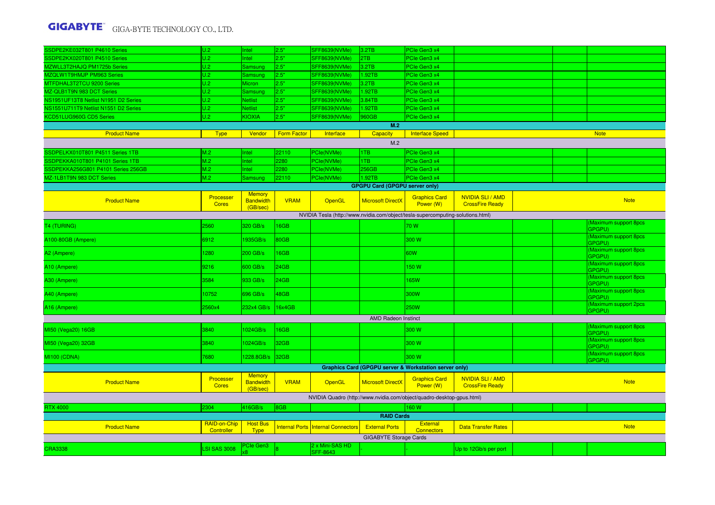| SSDPE2KE032T801 P4610 Series         | U.2                        | Intel                                         | 2.5"               | SFF8639(NVMe)                             | 3.2TB                                 | PCIe Gen3 x4                                                                    |                                                   |  |                                          |
|--------------------------------------|----------------------------|-----------------------------------------------|--------------------|-------------------------------------------|---------------------------------------|---------------------------------------------------------------------------------|---------------------------------------------------|--|------------------------------------------|
| SSDPE2KX020T801 P4510 Series         | U.2                        | Intel                                         | 2.5"               | SFF8639(NVMe)                             | 2TB                                   | PCIe Gen3 x4                                                                    |                                                   |  |                                          |
| MZWLL3T2HAJQ PM1725b Series          | U.2                        | Samsung                                       | 2.5"               | SFF8639(NVMe)                             | 3.2TB                                 | PCIe Gen3 x4                                                                    |                                                   |  |                                          |
| MZQLW1T9HMJP PM963 Series            | U.2                        | Samsung                                       | 2.5"               | SFF8639(NVMe)                             | 1.92TB                                | PCIe Gen3 x4                                                                    |                                                   |  |                                          |
| MTFDHAL3T2TCU 9200 Series            | U.2                        | Micron                                        | 2.5"               | SFF8639(NVMe)                             | 3.2TB                                 | PCIe Gen3 x4                                                                    |                                                   |  |                                          |
| MZ-QLB1T9N 983 DCT Series            | lU.2                       | <b>Samsung</b>                                | 2.5"               | SFF8639(NVMe)                             | 1.92TB                                | PCle Gen3 x4                                                                    |                                                   |  |                                          |
| NS1951UF13T8 Netlist N1951 D2 Series | U.2                        | <b>Netlist</b>                                | 2.5"               | SFF8639(NVMe)                             | 3.84TB                                | PCIe Gen3 x4                                                                    |                                                   |  |                                          |
| NS1551U711T9 Netlist N1551 D2 Series | U.2                        | <b>Netlist</b>                                | 2.5"               | SFF8639(NVMe)                             | 1.92TB                                | PCIe Gen3 x4                                                                    |                                                   |  |                                          |
| KCD51LUG960G CD5 Series              | U.2                        | <b>KIOXIA</b>                                 | 2.5"               | SFF8639(NVMe)                             | 960GB                                 | PCle Gen3 x4                                                                    |                                                   |  |                                          |
|                                      |                            |                                               |                    |                                           | M.2                                   |                                                                                 |                                                   |  |                                          |
| <b>Product Name</b>                  | <b>Type</b>                | Vendor                                        | <b>Form Factor</b> | Interface                                 | <b>Capacity</b>                       | <b>Interface Speed</b>                                                          |                                                   |  | <b>Note</b>                              |
|                                      |                            |                                               |                    |                                           | M.2                                   |                                                                                 |                                                   |  |                                          |
| SSDPELKX010T801 P4511 Series 1TB     | M.2                        | Intel                                         | 22110              | PCIe(NVMe)                                | 1TB                                   | PCIe Gen3 x4                                                                    |                                                   |  |                                          |
| SSDPEKKA010T801 P4101 Series 1TB     | M.2                        | <b>Intel</b>                                  | 2280               | PCIe(NVMe)                                | 1TB                                   | PCIe Gen3 x4                                                                    |                                                   |  |                                          |
| SSDPEKKA256G801 P4101 Series 256GB   | M.2                        | Intel                                         | 2280               | PCle(NVMe)                                | 256GB                                 | PCIe Gen3 x4                                                                    |                                                   |  |                                          |
| MZ-1LB1T9N 983 DCT Series            | M.2                        | Samsung                                       | 22110              | PCle(NVMe)                                | 1.92TB                                | PCIe Gen3 x4                                                                    |                                                   |  |                                          |
|                                      |                            |                                               |                    |                                           | <b>GPGPU Card (GPGPU server only)</b> |                                                                                 |                                                   |  |                                          |
| <b>Product Name</b>                  | Processer<br><b>Cores</b>  | <b>Memory</b><br><b>Bandwidth</b><br>(GB/sec) | <b>VRAM</b>        | OpenGL                                    | <b>Microsoft DirectX</b>              | <b>Graphics Card</b><br>Power (W)                                               | <b>NVIDIA SLI/AMD</b><br><b>CrossFire Ready</b>   |  | <b>Note</b>                              |
|                                      |                            |                                               |                    |                                           |                                       | NVIDIA Tesla (http://www.nvidia.com/object/tesla-supercomputing-solutions.html) |                                                   |  |                                          |
| T4 (TURING)                          | 2560                       | 320 GB/s                                      | <b>I6GB</b>        |                                           |                                       | 70 W                                                                            |                                                   |  | Maximum support 8pcs                     |
| A100-80GB (Ampere)                   | 6912                       | 1935GB/s                                      | 80GB               |                                           |                                       | 300 W                                                                           |                                                   |  | GPGPU)<br>Maximum support 8pcs<br>GPGPU) |
| A2 (Ampere)                          | 1280                       | 200 GB/s                                      | <b>6GB</b>         |                                           |                                       | 60W                                                                             |                                                   |  | Maximum support 8pcs<br>GPGPU)           |
| A10 (Ampere)                         | 9216                       | 600 GB/s                                      | 24GB               |                                           |                                       | 150 W                                                                           |                                                   |  | <b>Maximum support 8pcs</b><br>GPGPU)    |
| A30 (Ampere)                         | 3584                       | 933 GB/s                                      | 24GB               |                                           |                                       | 165W                                                                            |                                                   |  | (Maximum support 8pcs<br>GPGPU)          |
| A40 (Ampere)                         | 10752                      | 696 GB/s                                      | 18GB               |                                           |                                       | 300W                                                                            |                                                   |  | (Maximum support 8pcs<br>GPGPU)          |
| A16 (Ampere)                         | 2560x4                     | 232x4 GB/s                                    | 16x4GB             |                                           |                                       | <b>250W</b>                                                                     |                                                   |  | (Maximum support 2pcs<br>GPGPU)          |
|                                      |                            |                                               |                    |                                           | <b>AMD Radeon Instinct</b>            |                                                                                 |                                                   |  |                                          |
| MI50 (Vega20) 16GB                   | 3840                       | 1024GB/s                                      | <b>I6GB</b>        |                                           |                                       | 300 W                                                                           |                                                   |  | (Maximum support 8pcs<br>GPGPU)          |
| MI50 (Vega20) 32GB                   | 3840                       | 024GB/s                                       | 32GB               |                                           |                                       | 300 W                                                                           |                                                   |  | (Maximum support 8pcs<br>GPGPU)          |
| <b>MI100 (CDNA)</b>                  | 7680                       | 228.8GB/s                                     | 32GB               |                                           |                                       | 300 W                                                                           |                                                   |  | (Maximum support 8pcs<br>GPGPU)          |
|                                      |                            |                                               |                    |                                           |                                       | <b>Graphics Card (GPGPU server &amp; Workstation server only)</b>               |                                                   |  |                                          |
| <b>Product Name</b>                  | Processer<br><b>Cores</b>  | <b>Memory</b><br><b>Bandwidth</b><br>(GB/sec) | <b>VRAM</b>        | OpenGL                                    | <b>Microsoft DirectX</b>              | <b>Graphics Card</b><br>Power (W)                                               | <b>NVIDIA SLI / AMD</b><br><b>CrossFire Ready</b> |  | <b>Note</b>                              |
|                                      |                            |                                               |                    |                                           |                                       | NVIDIA Quadro (http://www.nvidia.com/object/quadro-desktop-gpus.html)           |                                                   |  |                                          |
| <b>RTX 4000</b>                      | 2304                       | 416GB/s                                       | 8GB                |                                           |                                       | 160W                                                                            |                                                   |  |                                          |
|                                      |                            |                                               |                    |                                           | <b>RAID Cards</b>                     |                                                                                 |                                                   |  |                                          |
| <b>Product Name</b>                  | RAID-on-Chip<br>Controller | <b>Host Bus</b><br><b>Type</b>                |                    | <b>Internal Ports Internal Connectors</b> | <b>External Ports</b>                 | External<br><b>Connectors</b>                                                   | <b>Data Transfer Rates</b>                        |  | <b>Note</b>                              |
|                                      |                            |                                               |                    |                                           | <b>GIGABYTE Storage Cards</b>         |                                                                                 |                                                   |  |                                          |
| <b>CRA3338</b>                       | <b>LSI SAS 3008</b>        | <b>Cle Gen3</b>                               |                    | 2 x Mini-SAS HD<br>SFF-8643               |                                       |                                                                                 | Up to 12Gb/s per port                             |  |                                          |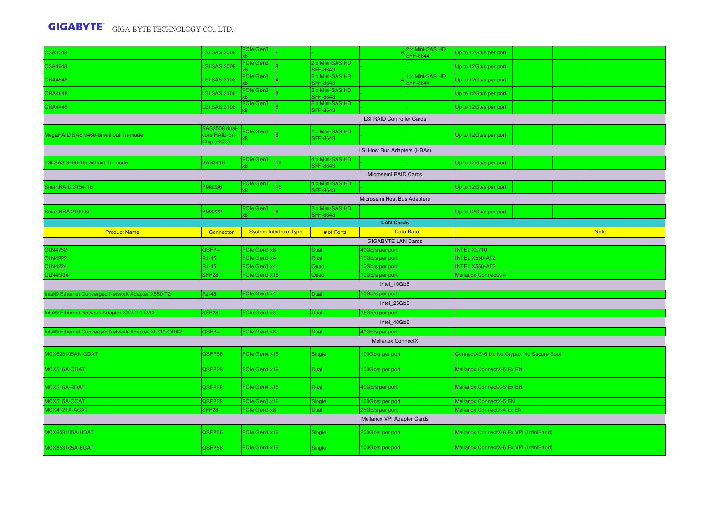| <b>CSA3548</b>                                       | <b>LSI SAS 3008</b> | PCIe Gen3        |                              |                                    |                                             | 2 x Mini-SAS HD<br><b>SFF-8644</b> | Up to 12Gb/s per port                    |  |             |
|------------------------------------------------------|---------------------|------------------|------------------------------|------------------------------------|---------------------------------------------|------------------------------------|------------------------------------------|--|-------------|
| <b>CSA4648</b>                                       | <b>LSI SAS 3008</b> | PCIe Gen3        |                              | 2 x Mini-SAS HD<br><b>SFF-8643</b> |                                             |                                    | Up to 12Gb/s per port                    |  |             |
| <b>CRA4548</b>                                       | <b>LSI SAS 3108</b> | <b>Cle Gen3</b>  |                              | 2 x Mini-SAS HD                    |                                             | 1 x Mini-SAS HD                    | Up to 12Gb/s per port                    |  |             |
| <b>CRA4648</b>                                       | <b>LSI SAS 3108</b> | <b>Cle Gen3</b>  |                              | <b>SFF-8643</b><br>2 x Mini-SAS HD |                                             | <b>SFF-8644</b>                    | Up to 12Gb/s per port                    |  |             |
|                                                      |                     | <b>Cle Gen3</b>  |                              | <b>SFF-8643</b><br>2 x Mini-SAS HD |                                             |                                    |                                          |  |             |
| <b>CRA4448</b>                                       | <b>LSI SAS 3108</b> |                  |                              | <b>SFF-8643</b>                    |                                             |                                    | Up to 12Gb/s per port                    |  |             |
|                                                      | <b>AS3508</b> dual- |                  |                              |                                    | <b>LSI RAID Controller Cards</b>            |                                    |                                          |  |             |
| MegaRAID SAS 9460-8i without Tri-mode                | core RAID-on-       | <b>PCIe Gen3</b> |                              | 2 x Mini-SAS HD<br><b>SFF-8643</b> |                                             |                                    | Up to 12Gb/s per port                    |  |             |
|                                                      | Chip (ROC)          |                  |                              |                                    | LSI Host Bus Adapters (HBAs)                |                                    |                                          |  |             |
| LSI SAS 9400-16i without Tri-mode                    | SAS3416             | PCIe Gen3        | 16                           | 4 x Mini-SAS HD                    |                                             |                                    | Up to 12Gb/s per port                    |  |             |
|                                                      |                     |                  |                              | <b>SFF-8643</b>                    | Microsemi RAID Cards                        |                                    |                                          |  |             |
| SmartRAID 3154-16i                                   | PM8236              | PCIe Gen3        | 16                           | 4 x Mini-SAS HD                    |                                             |                                    |                                          |  |             |
|                                                      |                     |                  |                              | <b>SFF-8643</b>                    |                                             |                                    | Up to 12Gb/s per port                    |  |             |
|                                                      |                     | PCIe Gen3        |                              | 2 x Mini-SAS HD                    | Microsemi Host Bus Adapters                 |                                    |                                          |  |             |
| SmartHBA 2100-8i                                     | <b>M8222</b>        |                  |                              | <b>SFF-8643</b>                    |                                             |                                    | Up to 12Gb/s per port                    |  |             |
|                                                      |                     |                  |                              |                                    | <b>LAN Cards</b>                            |                                    |                                          |  |             |
| <b>Product Name</b>                                  | Connector           |                  | <b>System Interface Type</b> | # of Ports                         | <b>GIGABYTE LAN Cards</b>                   | <b>Data Rate</b>                   |                                          |  | <b>Note</b> |
| <b>CLN4752</b>                                       | QSFP+               | PCIe Gen3 x8     |                              | Dual                               | 40Gb/s per port                             |                                    | <b>INTEL XL710</b>                       |  |             |
| <b>CLN4222</b>                                       | <b>RJ-45</b>        | PCIe Gen3 x4     |                              | Dual                               | 10Gb/s per port                             |                                    | <b>INTEL X550-AT2</b>                    |  |             |
| <b>CLN4224</b>                                       | <b>RJ-45</b>        | PCIe Gen3 x4     |                              | Quad                               | 10Gb/s per port                             |                                    | <b>INTEL X550-AT2</b>                    |  |             |
| CLN4M34                                              | SFP <sub>28</sub>   | PCIe Gen3 x16    |                              | Quad                               | 10Gb/s per port                             |                                    | Mellanox ConnectX-4                      |  |             |
|                                                      |                     |                  |                              |                                    | Intel 10GbE                                 |                                    |                                          |  |             |
| Intel® Ethernet Converged Network Adapter X550-T2    | <b>RJ-45</b>        | PCIe Gen3 x4     |                              | Dual                               | 10Gb/s per port                             |                                    |                                          |  |             |
|                                                      |                     |                  |                              |                                    | Intel 25GbE                                 |                                    |                                          |  |             |
| Intel® Ethernet Network Adapter XXV710-DA2           | SFP <sub>28</sub>   | PCIe Gen3 x8     |                              | Dual                               | 25Gb/s per port                             |                                    |                                          |  |             |
|                                                      |                     |                  |                              |                                    | Intel 40GbE                                 |                                    |                                          |  |             |
| Intel® Ethernet Converged Network Adapter XL710-QDA2 | QSFP+               | PCIe Gen3 x8     |                              | Dual                               | 40Gb/s per port<br><b>Mellanox ConnectX</b> |                                    |                                          |  |             |
|                                                      |                     |                  |                              |                                    |                                             |                                    |                                          |  |             |
| MCX623105AN-CDAT                                     | QSFP56              | PCIe Gen4 x16    |                              | Single                             | 100Gb/s per port                            |                                    | ConnectX®-6 Dx No Crypto, No Secure Boot |  |             |
| MCX516A-CDAT                                         | QSFP28              | PCIe Gen4 x16    |                              | <b>Dual</b>                        | 100Gb/s per port                            |                                    | Mellanox ConnectX-5 Ex EN                |  |             |
| MCX516A-BDAT                                         | QSFP28              | PCIe Gen4 x16    |                              | Dual                               | 40Gb/s per port                             |                                    | Mellanox ConnectX-5 Ex EN                |  |             |
| MCX515A-CCAT                                         | QSFP28              | PCIe Gen3 x16    |                              | Single                             | 100Gb/s per port                            |                                    | Mellanox ConnectX-5 EN                   |  |             |
| MCX4121A-ACAT                                        | SFP28               | PCIe Gen3 x8     |                              | Dual                               | 25Gb/s per port                             |                                    | Mellanox ConnectX-4 Lx EN                |  |             |
|                                                      |                     |                  |                              |                                    | Mellanox VPI Adapter Cards                  |                                    |                                          |  |             |
| <b>MCX653105A-HDAT</b>                               | QSFP56              | PCIe Gen4 x16    |                              | Single                             | 200Gb/s per port                            |                                    | Mellanox ConnectX-6 Ex VPI (InfiniBand)  |  |             |
| <b>MCX653105A-ECAT</b>                               | QSFP56              | PCIe Gen4 x16    |                              | Single                             | 100Gb/s per port                            |                                    | Mellanox ConnectX-6 Ex VPI (InfiniBand)  |  |             |